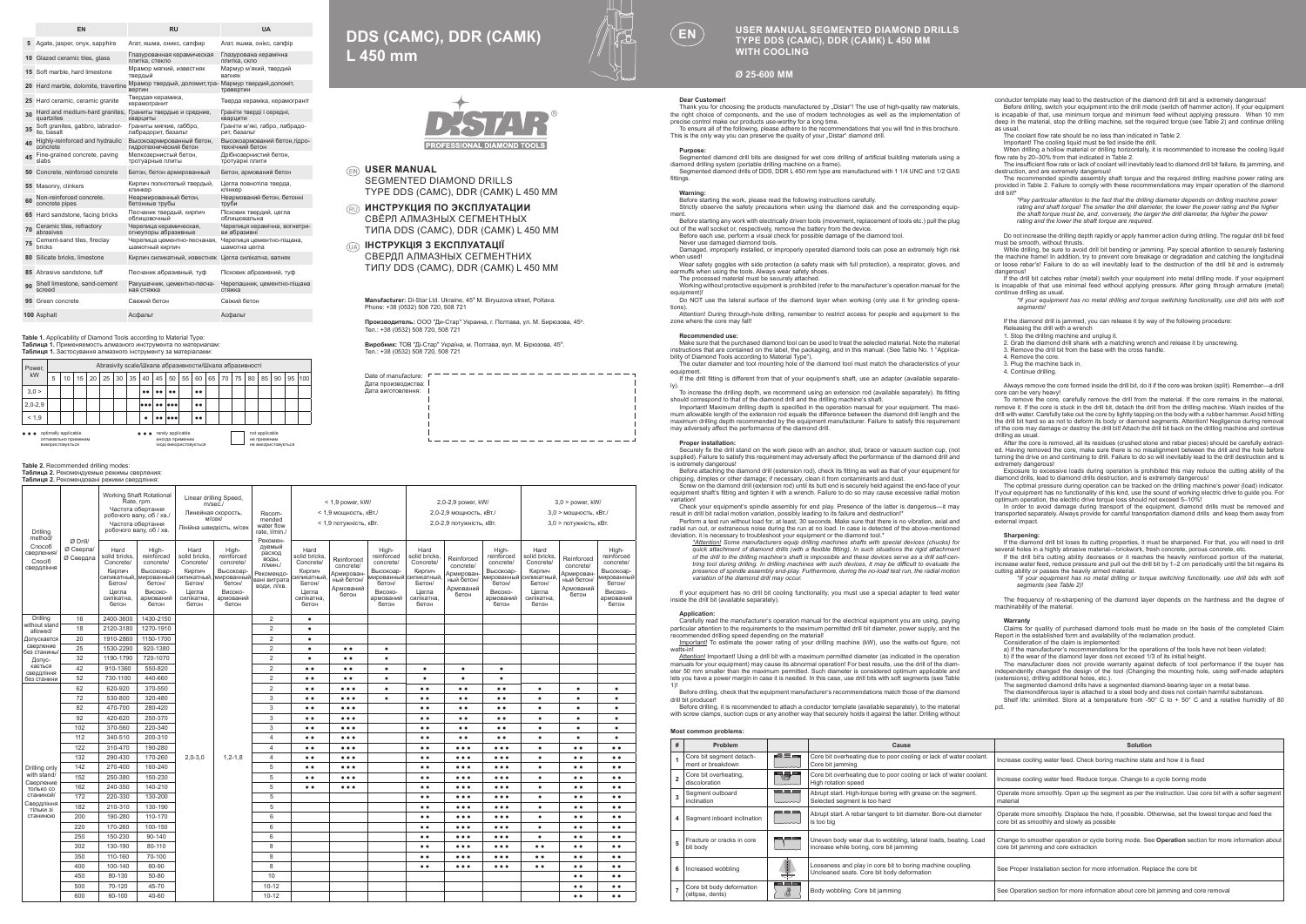|    | EN                                                                      | <b>RU</b>                                                        | <b>UA</b>                                        |  |  |  |  |  |
|----|-------------------------------------------------------------------------|------------------------------------------------------------------|--------------------------------------------------|--|--|--|--|--|
| 5  | Agate, jasper, onvx, sapphire                                           | Агат, яшма, оникс, сапфир                                        | Агат, яшма, онікс, сапфір                        |  |  |  |  |  |
|    | 10 Glazed ceramic tiles, glass                                          | Глазурованная керамическая<br>плитка, стекло                     | Глазурована керамічна<br>плитка, скло            |  |  |  |  |  |
|    | 15 Soft marble, hard limestone                                          | Мрамор мягкий, известняк<br>твердый                              | Мармур м'який, твердий<br>валняк                 |  |  |  |  |  |
|    | 20 Hard marble, dolomite, travertine                                    | Мрамор твердый, доломит, тра- Мармур твердий, доломіт,<br>вертин | травертин                                        |  |  |  |  |  |
|    | 25 Hard ceramic, ceramic granite                                        | Твердая керамика.<br>керамогранит                                | Тверда кераміка, керамограніт                    |  |  |  |  |  |
| 30 | Hard and medium-hard granites, Граниты твердые и средние,<br>quartzites | кварциты                                                         | Граніти тверді і середні,<br>кварцити            |  |  |  |  |  |
| 35 | Soft granites, gabbro, labrador-<br>ite basalt                          | Граниты мягкие, габбро,<br>лабрадорит, базальт                   | Граніти м'які, габро, лабрадо-<br>рит. базальт   |  |  |  |  |  |
| 40 | Highly-reinforced and hydraulic<br>concrete                             | Высокоармированный бетон.<br>гидротехнический бетон              | Высокоармований бетон. гідро-<br>технічний бетон |  |  |  |  |  |
| 45 | Fine-grained concrete, paving<br>slabs                                  | Мелкозернистый бетон,<br>тротуарные плиты                        | Дрібнозернистий бетон,<br>тротуарні плити        |  |  |  |  |  |
|    | 50 Concrete, reinforced concrete                                        | Бетон, бетон армированный                                        | Бетон, армований бетон                           |  |  |  |  |  |
|    | 55 Masonry, clinkers                                                    | Кирпич полнотелый твердый,<br>клинкер                            | Цегла повнотіла тверда.<br>клінкер               |  |  |  |  |  |
| 60 | Non-reinforced concrete.<br>concrete pipes                              | Неармированный бетон.<br>бетонные трубы                          | Неармований бетон, бетонні<br>труби              |  |  |  |  |  |
|    | 65 Hard sandstone, facing bricks                                        | Песчаник твердый, кирпич<br>облицовочный                         | Пісковик твердий, цегла<br>облицювальна          |  |  |  |  |  |
| 70 | Ceramic tiles, refractory<br>abrasives                                  | Черепица керамическая.<br>огнеупоры абразивные                   | Черепиця керамічна, вогнетри-<br>ви абразивні    |  |  |  |  |  |
|    | 75 Cement-sand tiles, fireclay<br>bricks                                | Черепица цементно-песчаная.<br>шамотный кирпич                   | Черепиця цементно-пішана.<br>шамотна цегла       |  |  |  |  |  |
|    | 80 Silicate bricks, limestone                                           | Кирпич силикатный, известняк Цегла силікатна, вапняк             |                                                  |  |  |  |  |  |
|    | 85 Abrasive sandstone, tuff                                             | Песчаник абразивный, туф                                         | Пісковик абразивний, туф                         |  |  |  |  |  |
| 90 | Shell limestone, sand-cement<br>screed                                  | Ракушечник, цементно-песча-<br>ная стяжка.                       | Черепашник, цементно-пішана<br>стяжка            |  |  |  |  |  |
|    | 95 Green concrete                                                       | Свежий бетон                                                     | Свіжий бетон                                     |  |  |  |  |  |
|    | 100 Asphalt                                                             | Асфальт                                                          | Асфальт                                          |  |  |  |  |  |

**Тable 1.** Applicability of Diamond Tools according to Material Type:<br>**Таблица 1.** Применяемость алмазного инструмента по материалам:<br>**Таблиця 1.** Застосування алмазного інструменту за матеріалами:

| Power.<br>kW                                                    |   | Abrasivity scale/Шкала абразивности/Шкала абразивності |    |    |    |    |    |                                                                                                                        |            |           |    |              |    |    |    |    |    |    |    |     |
|-----------------------------------------------------------------|---|--------------------------------------------------------|----|----|----|----|----|------------------------------------------------------------------------------------------------------------------------|------------|-----------|----|--------------|----|----|----|----|----|----|----|-----|
|                                                                 | 5 | 10                                                     | 15 | 20 | 25 | 30 | 35 | 40                                                                                                                     | 45         | 50        | 55 | 60           | 65 | 70 | 75 | 80 | 85 | 90 | 95 | 100 |
| 3.0 >                                                           |   |                                                        |    |    |    |    |    | $^{\circ}$                                                                                                             | $^{\circ}$ | $\bullet$ |    | $^{\bullet}$ |    |    |    |    |    |    |    |     |
| $2.0 - 2.9$                                                     |   |                                                        |    |    |    |    |    | $  \bullet \bullet \bullet  $                                                                                          | $^{\circ}$ |           |    | $^{\bullet}$ |    |    |    |    |    |    |    |     |
| < 1.9                                                           |   |                                                        |    |    |    |    |    | ٠                                                                                                                      |            | as lass   |    | $^{\bullet}$ |    |    |    |    |    |    |    |     |
| optimally applicable<br>оптимально применим<br>ВИКООИСТОВУЄТЬСЯ |   |                                                        |    |    |    |    |    | rarely applicable<br>not applicable<br>иногда применим<br>не применим<br>іноді використовується<br>не використовується |            |           |    |              |    |    |    |    |    |    |    |     |

### **Table 2.** Recommended drilling modes: **Таблица 2.** Рекомендуемые режимы сверления: **Таблиця 2.** Рекомендовані режими свердління:

### Drilling method/ Способ сверления/ Спосіб свердлі  $\alpha$  Drill/ Ø Сверла/ Ø Свердла Working Shaft Rotational Rate, rpm. Частота обертан робочого валу, об / ув. Частота обертання робочого валу, об / хв. Linear drilling Speed, m/sec./ Линейная скорость,  $M$ нійна швидкість, м/с Recom-mended water flow rate, l/min./ Рекомендуемый расход расхо л/мин./ Рекомендо-вані витрата води, л/хв. < 1,9 power, kW/  $< 1.9$  мощность, кВт.  $< 1.9$  потужність, к $Br$ 2,0-2,9 power, kW/ 2,0-2,9 мощность, кВт./ 2,0-2,9 потужність, кВт. 3,0 > power, kW/  $3.0$  > мощность, к $Br/$ 3,0 > потужність, кВт. Hard solid bricks, Concrete/ Кирпич силикатный, Бетон/ Цегла силікатна, бетон High-reinforced concrete/ Высокоармированный бетон/ Високоармований бетон Hard slid briek Concrete/ Кирпич силикатный, Бетон/ Цегла силікатна, бетон High-reinforced concrete/ Высокоармированный бетон/ Високоармований бетон Hard silid bri Concrete/ Кирпич силикатный, Бетон/ Цегла силікатна, бетон Reinforced concrete/ Армированный бетон/ Армований бетон High-reinforced concrete/ Высокоармированный бетон/ Високоармований бетон Hard<br>Hard solid bricks, Concrete/ Кирпич силикатный, Бетон/ Цегла силікатна, бетон **Reinforce** concrete/ Армированный бето Армований бетон Highreinforced concrete/ Высокоа мированный бетон/ Високоармований бетон Hard sid briek Concrete/ Кирпич силикатный, Бетон/ Цегла силікатна, бетон Reinforced concrete/ Армирован-ный бетон/ Армований бетон High-reinforced concrete/ з<br>мированный бетон/ Високоармований бетон Drilling without stand allowed/ Допускается сверление без станины/ Допус-кається свердління без станини 2400-3600 1430-2150 2,0-3,0 1,2-1,8 2 **e** 18 2120-3180 1270-1910 2 ● 1910-2860 1150-1700 | 2 25 1530-2290 920-1380 2 ● ● ● ● 32 1190-1790 720-1070 2 ● ● ● ● 42 910-1360 550-820 2 ● ● ● ● ● ● ● ● 52 730-1100 440-660 2 ● ● ● ● ● ● ● ● Drilling on with stand/ Сверпен только со станиной/ Свердління тільки зі станино 62 620-920 370-550 2 ● ● ● ● ● ● ● ● ● ● ● ● ● ● ● 72 530-800 320-480 3 ● ● ● ● ● ● ● ● ● ● ● ● ● ● ● 82 470-700 280-420 3 ● ● ● ● ● ● ● ● ● ● ● ● ● ● 92 420-620 250-370 3 ● ● ● ● ● ● ● ● ● ● ● ● ● ● 102 | 370-560 | 220-340 | | | 3 | ● | ●● | ● | ● | ● | ● | ● | ● | ● 112 340-510 200-310 4 ● ● ● ● ● ● ● ● ● ● ● ● ● ● 122 310-470 190-280 4 ● ● ● ● ● ● ● ● ● ● ● ● ● ● ● ● ● ● 132 | 290-430 | 170-260 | 2,0-3,0 | 1,2-1,8 | 4 | ●● | ●●● | ● | ●● | ●● | ●● | ●● | ●● | ●● 142 270-400 160-240 5 ● ● ● ● ● ● ● ● ● ● ● ● ● ● ● ● ● ● 152 250-380 150-230 5 ● ● ● ● ● ● ● ● ● ● ● ● ● ● ● ● ● ● 162 240-350 140-210 5 ● ● ● ● ● ● ● ● ● ● ● ● ● ● ● ● ● ●  $172$  220-330 130-200  $\overline{5}$   $\overline{5}$   $\overline{9}$   $\overline{9}$   $\overline{9}$   $\overline{9}$   $\overline{9}$   $\overline{9}$   $\overline{9}$   $\overline{9}$   $\overline{9}$   $\overline{9}$   $\overline{9}$   $\overline{9}$   $\overline{9}$   $\overline{9}$   $\overline{9}$   $\overline{9}$   $\overline{9}$   $\overline{9}$   $\overline{9}$   $\overline{9}$  182 210-310 130-190 5 ● ● ● ● ● ● ● ● ● ● ● ● ● 200 190-280 110-170 6 ● ● ● ● ● ● ● ● ● ● ● ● ● 220 170-260 100-150 6 ● ● ● ● ● ● ● ● ● ● ● ● ● 250 150-230 90-140 6 ● ● ● ● ● ● ● ● ● ● ● ● ● 302 130-190 80-110 8 ● ● ● ● ● ● ● ● ● ● ● ● ● ● 350 | 110-160 | 70-100 | | 8 | | | | ● ● | ● ● | ● ● | ● ● | ● ● | ● ● | ● ● | ● ● | ● ● | ● ● | ● ● | ● ● | ● ● | ● ● | ● ● | ● ● | ● ● | ● ● | ● ● | ● ● | ● ● | ● ● | ● ● | ● ● | 400 | 100-140 | 60-90 | | 8 | | | | ● ● | ● ● | ● ● | ● ● | ● ● | ● ● | ● ● | ● ● | ● ● | ● ● | ● ● | ● ● | ● ● | ● ● | ● ● | ● ● | ● ● | ● ● | ● ● | ● ● | ● ● | ● ● | ● ● | ● ● | ● ● 450 80-130 50-80 10 ● ● ● ● 500 70-120 45-70 10-12 ● ● ● ● 600 60-100 40-60 10-12 ● ● ● ●

**DDS (САМС), DDR (САМК) L 450 mm**



## **USER MANUAL**

SEGMENTED DIAMOND DRILLS TYPE DDS (САМС), DDR (САМК) L 450 MM

- **ИНСТРУКЦИЯ ПО ЭКСПЛУАТАЦИИ** СВЁРЛ АЛМАЗНЫХ СЕГМЕНТНЫХ ТИПА DDS (САМС), DDR (САМК) L 450 MM
- **ІНСТРУКЦІЯ З ЕКСПЛУАТАЦІЇ** СВЕРДЛ АЛМАЗНЫХ СЕГМЕНТНИХ ТИПУ DDS (САМС), DDR (САМК) L 450 MM

Manufacturer: Di-Star Ltd. Ukraine, 45<sup>A</sup>M. Biryuzova street, Poltava. Phone: +38 (0532) 508 720, 508 721

**Производитель:** ООО "Ди-Стар" Украина, г. Полтава, ул. М. Бирюзова, 45А. п**роизводитель**: ООО ди-Отар<br>Тел.: +38 (0532) 508 720, 508 721

**Виробник:** ТОВ "Ді-Стар" Україна, м. Полтава, вул. М. Бірюзова, 45А. Тел.: +38 (0532) 508 720, 508 721



## **USER MANUAL SEGMENTED DIAMOND DRILLS TYPE DDS (САМС), DDR (САМК) L 450 MM WITH COOLING**

**Ø 25-600 ММ**

**Dear Customer!**<br>Thank you for choosing the products manufactured by "Distar"! The use of high-quality raw materials,<br>the right choice of components, and the use of modern technologies as well as the implementation of

precise control make our products use-worthy for a long time.<br>\_ To ensure all of the following, please adhere to the recommendations that you will find in this brochure.<br>This is the only way you can preserve the quality of

**Purpose:**  Segmented diamond drill bits are designed for wet core drilling of artificial building materials using a diamond drilling system (portable drilling machine on a frame). Segmented diamond drills of DDS, DDR L 450 mm type are manufactured with 1 1/4 UNC and 1/2 GAS

## fittings.

**Warning:**  Before starting the work, please read the following instructions carefully. Strictly observe the safety precautions when using the diamond disk and the corresponding equip-<br>ment

ment. Before starting any work with electrically driven tools (movement, replacement of tools etc.) pull the plug out of the wall socket or, respectively, remove the battery from the device.

Before each use, perform a visual check for possible damage of the diamond tool. Never use damaged diamond tools.

Damaged, improperly installed, or improperly operated diamond tools can pose an extremely high risk when used! Wear safety goggles with side protection (a safety mask with full protection), a respirator, gloves, and

earmuffs when using the tools. Always wear safety shoes.

The processed material must be securely attached. Working without protective equipment is prohibited (refer to the manufacturer's operation manual for the

equipment)! Do NOT use the lateral surface of the diamond layer when working (only use it for grinding opera-

tions). Attention! During through-hole drilling, remember to restrict access for people and equipment to the

zone where the core may fall!

## **Recommended use:**

Make sure that the purchased diamond tool can be used to treat the selected material. Note the material instructions that are contained on the label, the packaging, and in this manual. (See Table No. 1 "Applica-

bility of Diamond Tools according to Material Type"). The outer diameter and tool mounting hole of the diamond tool must match the characteristics of your

equipment.<br>If the drill fitting is different from that of your equipment's shaft, use an adapter (available separate-

ly).<br>To increase the drilling depth, we recommend using an extension rod (available separately). Its fitting<br>should correspond to that of the diamond drill and the drilling machine's shaft.<br>Important! Maximum drilling dept

mum allowable length of the extension rod equals the difference between the diamond drill length and the<br>maximum drilling depth recommended by the equipment manufacturer. Failure to satisfy this requirement<br>may adversely a

**Proper installation:**  Securely fix the drill stand on the work piece with an anchor, stud, brace or vacuum suction cup, (not supplied). Failure to satisfy this requirement may adversely affect the performance of the diamond drill and is extremely dangerous! Before attaching the diamond drill (extension rod), check its fitting as well as that of your equipment for

chipping, dimples or other damage; if necessary, clean it from contaminants and dust. Screw on the diamond drill (extension rod) until its butt end is securely held against the end-face of your equipment shaft's fitting and tighten it with a wrench. Failure to do so may cause excessive radial motion

variation!<br>- Check your equipment's spindle assembly for end play. Presence of the latter is dangerous—it may<br>result in drill bit radial motion variation, possibly leading to its failure and destruction!"<br>- Perform a test

radial run out, or extraneous noise during the run at no load. In case is detected of the above-mentioned<br>deviation, it is necessary to troubleshoot your equipment or the diamond tool.\*<br>https://www.scare.com/scare.com/scar quick attachment of diamond drills (with a flexible fitting). In such situations the rigid attachment<br>of the drill to the drilling machine's shaft is impossible and these devices serve as a drill self-cen*tring tool during drilling. In drilling machines with such devices, it may be difficult to evaluate the presence of spindle assembly end-play. Furthermore, during the no-load test run, the radial motion variation of the diamond drill may occur.*

If your equipment has no drill bit cooling functionality, you must use a special adapter to feed water inside the drill bit (available separately).

Application:<br>Carefully read the manufacturer's operation manual for the electrical equipment you are using, paying<br>particular attention to the requirements to the maximum permitted drill bit diameter, power supply, and the recommended drilling speed depending on the material!<br>I<u>mportant!</u> To estimate the power rating of your drilling machine (kW), use the watts-out figure, not

watts-in!<br><u>Attention!</u> Important! Using a drill bit with a maximum permitted diameter (as indicated in the operation manuals for your equipment) may cause its abnormal operation! For best results, use the drill of the diam-eter 50 mm smaller than the maximum permitted. Such diameter is considered optimum applicable and

lets you have a power margin in case it is needed. In this case, use drill bits with soft segments (see Table 1)! Before drilling, check that the equipment manufacturer's recommendations match those of the diamond

drill bit produce Before drilling, it is recommended to attach a conductor template (available separately), to the material

with screw clamps, suction cups or any another way that securely holds it against the latter. Drilling with screw clamps, suction cups or any another way that securely holds it against the latter. Drilling with

**Most common problems:**

| Problem                                       |                             | Cause                                                                                                     | <b>Solution</b>                                                                                                                                     |
|-----------------------------------------------|-----------------------------|-----------------------------------------------------------------------------------------------------------|-----------------------------------------------------------------------------------------------------------------------------------------------------|
| Core bit segment detach-<br>ment or breakdown | 過量量                         | Core bit overheating due to poor cooling or lack of water coolant.<br>Core bit jamming                    | Increase cooling water feed. Check boring machine state and how it is fixed                                                                         |
| Core bit overheating,<br>discoloration        | ▀█▀<br>سيستسا               | Core bit overheating due to poor cooling or lack of water coolant.<br>High rotation speed                 | Increase cooling water feed. Reduce torque. Change to a cycle boring mode                                                                           |
| Segment outboard<br>inclination               | وسع سه بسب<br>لمعتبينا      | Abrupt start. High-torque boring with grease on the segment.<br>Selected segment is too hard              | Operate more smoothly. Open up the segment as per the instruction. Use core bit with a softer segment<br>material                                   |
| Seament inboard inclination                   | $\alpha = \alpha$<br>لممسسا | Abrupt start. A rebar tangent to bit diameter. Bore-out diameter<br>is too big                            | Operate more smoothly. Displace the hole, if possible. Otherwise, set the lowest torque and feed the<br>core bit as smoothly and slowly as possible |
| Fracture or cracks in core<br>bit body        | صصه                         | Uneven body wear due to wobbling, lateral loads, beating. Load<br>increase while boring, core bit jamming | Change to smoother operation or cycle boring mode. See Operation section for more information about<br>core bit jamming and core extraction         |
| Increased wobbling                            |                             | Looseness and play in core bit to boring machine coupling.<br>Uncleaned seats. Core bit body deformation  | See Proper Installation section for more information. Replace the core bit                                                                          |
| Core bit body deformation<br>(ellipse, dents) | am minis                    | Body wobbling. Core bit jamming                                                                           | See Operation section for more information about core bit jamming and core removal                                                                  |

conductor template may lead to the destruction of the diamond drill but and is extremely dangerous!<br>Before drilling, switch your equipment into the drill mode (switch off hammer action). If your equipment<br>is incapable of t

as usual. The coolant flow rate should be no less than indicated in Table 2.

Important! The cooling liquid must be fed inside the drill. When drilling a hollow material or drilling horizontally, it is recommended to increase the cooling liquid flow rate by 20–30% from that indicated in Table 2. The insufficient flow rate or lack of coolant will inevitably lead to diamond drill bit failure, its jamming, and

destruction, and are extremely dangerous!

The recommended spindle assembly shaft torque and the required drilling machine power rating are provided in Table 2. Failure to comply with these recommendations may impair operation of the diamond drill bit!\*

*\*Pay particular attention to the fact that the drilling diameter depends on drilling machine power rating and shaft torque! The smaller the drill diameter, the lower the power rating and the higher the shaft torque must be, and, conversely, the larger the drill diameter, the higher the power rating and the lower the shaft torque are required.*

Do not increase the drilling depth rapidly or apply hammer action during drilling. The regular drill bit feed

must be smooth, without thrusts. While drilling, be sure to avoid drill bit bending or jamming. Pay special attention to securely fastening the machine frame! In addition, try to prevent core breakage or degradation and catching the longitudinal or loose rebar's! Failure to do so will inevitably lead to the destruction of the drill bit and is extremely

dangerous! If the drill bit catches rebar (metal) switch your equipment into metal drilling mode. If your equipment is incapable of that use minimal feed without applying pressure. After going through armature (metal)

continue drilling as usual. *\*If your equipment has no metal drilling and torque switching functionality, use drill bits with soft segments!*

If the diamond drill is jammed, you can release it by way of the following procedure:

Releasing the drill with a wrench 1. Stop the drilling machine and unplug it.

2. Grab the diamond drill shank with a matching wrench and release it by unscrewing.

3. Remove the drill bit from the base with the cross handle.

4. Remove the core.

3. Plug the machine back in. 4. Continue drilling.

Always remove the core formed inside the drill bit, do it if the core was broken (split). Remember—a drill

core can be very heavy! To remove the core, carefully remove the drill from the material. If the core remains in the material, remove it. If the core is stuck in the drill bit, detach the drill from the drilling machine. Wash insides of the

drill with water. Carefully take out the core by lightly tapping on the body with a rubber hammer. Avoid hitting<br>the drill bit hard so as not to deform its body or diamond segments. Attention! Negligence during removal<br>of drilling as usual. After the core is removed, all its residues (crushed stone and rebar pieces) should be carefully extract-

ed. Having removed the core, make sure there is no misalignment between the drill and the hole before turning the drive on and continuing to drill. Failure to do so will inevitably lead to the drill destruction and is extremely dangerous! Exposure to excessive loads during operation is prohibited this may reduce the cutting ability of the

diamond drills, lead to diamond drills destruction, and is extremely dangerous!

The optimal pressure during operation can be tracked on the drilling machine's power (load) indicator. If your equipment has no functionality of this kind, use the sound of working electric drive to guide you. For optimum operation, the electric drive torque loss should not exceed 5–10%!

In order to avoid damage during transport of the equipment, diamond drills must be removed and transported separately. Always provide for careful transportation diamond drills and keep them away from external impact.

**Sharpening:**<br>If the diamond drill bit loses its cutting properties, it must be sharpened. For that, you will need to drill

several holes in a highly abrasive material—brickwork, fresh concrete, porous concrete, etc.<br>If the drill bit's cutting ability decreases or it reaches the heavily reinforced portion of the material,<br>increase water feed, r cutting ability or passes the heavily armed material.

*\*If your equipment has no metal drilling or torque switching functionality, use drill bits with soft segments (see Table 2)!*

The frequency of re-sharpening of the diamond layer depends on the hardness and the degree of machinability of the material.

**Warranty**  Claims for quality of purchased diamond tools must be made on the basis of the completed Claim Report in the established form and availability of the reclamation product.

Consideration of the claim is implemented: a) if the manufacturer's recommendations for the operations of the tools have not been violated;

b) if the wear of the diamond layer does not exceed 1/3 of its initial height.

The manufacturer does not provide warranty against defects of tool performance if the buyer has independently changed the design of the tool (Changing the mounting hole, using self-made adapters

(extensions), drilling additional holes, etc.). The segmented diamond drills have a segmented diamond-bearing layer on a metal base.

The diamondiferous layer is attached to a steel body and does not contain harmful substances. Shelf life: unlimited. Store at a temperature from -50° C to + 50° C and a relative humidity of 80 pct.

**EN**